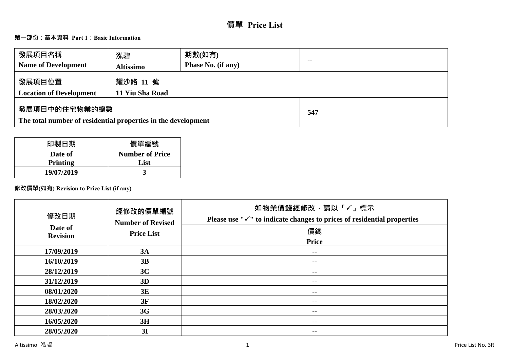# **價單 Price List**

# **第一部份:基本資料 Part 1:Basic Information**

| 發展項目名稱<br><b>Name of Development</b>                                           | 泓碧<br><b>Altissimo</b>      | 期數(如有)<br><b>Phase No. (if any)</b> | $\sim$ |
|--------------------------------------------------------------------------------|-----------------------------|-------------------------------------|--------|
| 發展項目位置<br><b>Location of Development</b>                                       | 耀沙路 11 號<br>11 Yiu Sha Road |                                     |        |
| 發展項目中的住宅物業的總數<br>The total number of residential properties in the development |                             | 547                                 |        |

| 印製日期       | 價單編號                   |
|------------|------------------------|
| Date of    | <b>Number of Price</b> |
| Printing   | List                   |
| 19/07/2019 |                        |

# **修改價單(如有) Revision to Price List (if any)**

| 修改日期                       | 經修改的價單編號<br><b>Number of Revised</b> | 如物業價錢經修改,請以「✓」標示<br>Please use " $\checkmark$ " to indicate changes to prices of residential properties |
|----------------------------|--------------------------------------|---------------------------------------------------------------------------------------------------------|
| Date of<br><b>Revision</b> | <b>Price List</b>                    | 價錢                                                                                                      |
|                            |                                      | <b>Price</b>                                                                                            |
| 17/09/2019                 | 3A                                   | --                                                                                                      |
| 16/10/2019                 | 3B                                   | $- -$                                                                                                   |
| 28/12/2019                 | 3C                                   | --                                                                                                      |
| 31/12/2019                 | 3D                                   | --                                                                                                      |
| 08/01/2020                 | 3E                                   | --                                                                                                      |
| 18/02/2020                 | 3F                                   | --                                                                                                      |
| 28/03/2020                 | 3G                                   | $- -$                                                                                                   |
| 16/05/2020                 | 3H                                   | $- -$                                                                                                   |
| 28/05/2020                 | 3I                                   | $\sim$ $\sim$                                                                                           |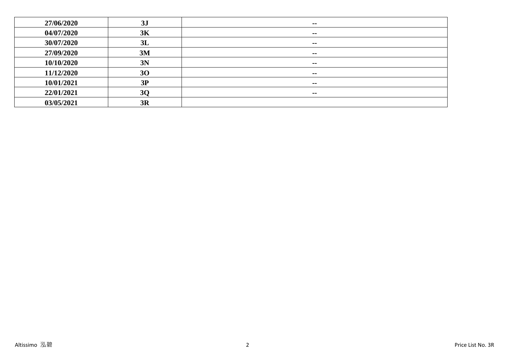| 27/06/2020 | 3J        | $- -$         |
|------------|-----------|---------------|
| 04/07/2020 | 3K        | $\sim$        |
| 30/07/2020 | 3L        | $\sim$        |
| 27/09/2020 | 3M        | $\sim$ $\sim$ |
| 10/10/2020 | 3N        | $\sim$ $\sim$ |
| 11/12/2020 | 30        | $- -$         |
| 10/01/2021 | 3P        | $- -$         |
| 22/01/2021 | <b>3Q</b> | $- -$         |
| 03/05/2021 | 3R        |               |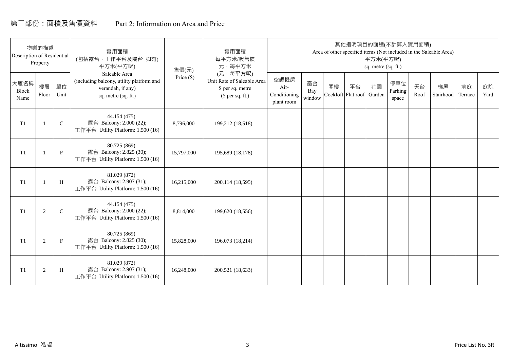# 第二部份:面積及售價資料 Part 2: Information on Area and Price

| Description of Residential | 物業的描述<br>Property |             | 實用面積<br>(包括露台,工作平台及陽台 如有)<br>平方米(平方呎)                                                                 | 售價(元)        | 實用面積<br>每平方米/呎售價<br>元·每平方米                                                     |                                            |                     |    | 其他指明項目的面積(不計算入實用面積)      | 平方米(平方呎)<br>sq. metre (sq. ft.) |                         |            | Area of other specified items (Not included in the Saleable Area) |               |            |
|----------------------------|-------------------|-------------|-------------------------------------------------------------------------------------------------------|--------------|--------------------------------------------------------------------------------|--------------------------------------------|---------------------|----|--------------------------|---------------------------------|-------------------------|------------|-------------------------------------------------------------------|---------------|------------|
| 大廈名稱<br>Block<br>Name      | 樓層<br>Floor       | 單位<br>Unit  | Saleable Area<br>(including balcony, utility platform and<br>verandah, if any)<br>sq. metre (sq. ft.) | Price $(\$)$ | (元·每平方呎)<br>Unit Rate of Saleable Area<br>\$ per sq. metre<br>$$$ per sq. ft.) | 空調機房<br>Air-<br>Conditioning<br>plant room | 窗台<br>Bay<br>window | 閣樓 | 平台<br>Cockloft Flat roof | 花園<br>Garden                    | 停車位<br>Parking<br>space | 天台<br>Roof | 梯屋<br>Stairhood                                                   | 前庭<br>Terrace | 庭院<br>Yard |
| T <sub>1</sub>             |                   | $\mathsf C$ | 44.154 (475)<br>露台 Balcony: 2.000 (22);<br>工作平台 Utility Platform: 1.500 (16)                          | 8,796,000    | 199,212 (18,518)                                                               |                                            |                     |    |                          |                                 |                         |            |                                                                   |               |            |
| T <sub>1</sub>             |                   | $\mathbf F$ | 80.725 (869)<br>露台 Balcony: 2.825 (30);<br>工作平台 Utility Platform: 1.500 (16)                          | 15,797,000   | 195,689 (18,178)                                                               |                                            |                     |    |                          |                                 |                         |            |                                                                   |               |            |
| T <sub>1</sub>             |                   | H           | 81.029 (872)<br>露台 Balcony: 2.907 (31);<br>工作平台 Utility Platform: 1.500 (16)                          | 16,215,000   | 200,114 (18,595)                                                               |                                            |                     |    |                          |                                 |                         |            |                                                                   |               |            |
| T1                         | 2                 | $\mathbf C$ | 44.154 (475)<br>露台 Balcony: 2.000 (22);<br>工作平台 Utility Platform: 1.500 (16)                          | 8,814,000    | 199,620 (18,556)                                                               |                                            |                     |    |                          |                                 |                         |            |                                                                   |               |            |
| T1                         | 2                 | $\mathbf F$ | 80.725 (869)<br>露台 Balcony: 2.825 (30);<br>工作平台 Utility Platform: 1.500 (16)                          | 15,828,000   | 196,073 (18,214)                                                               |                                            |                     |    |                          |                                 |                         |            |                                                                   |               |            |
| T1                         | $\overline{2}$    | H           | 81.029 (872)<br>露台 Balcony: 2.907 (31);<br>工作平台 Utility Platform: 1.500 (16)                          | 16,248,000   | 200,521 (18,633)                                                               |                                            |                     |    |                          |                                 |                         |            |                                                                   |               |            |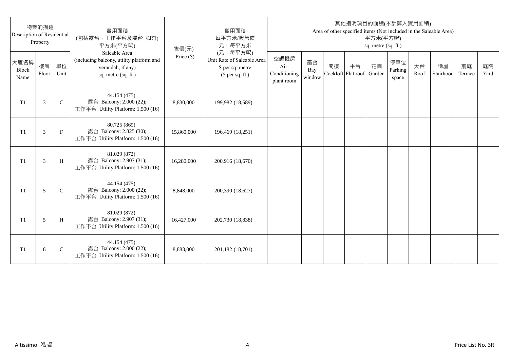| Description of Residential | 物業的描述<br>Property |              | 實用面積<br>(包括露台,工作平台及陽台 如有)<br>平方米(平方呎)                                                                 | 售價(元)      | 實用面積<br>每平方米/呎售價<br>元·每平方米                                                     |                                            |                     |                          |    | 平方米(平方呎)<br>sq. metre (sq. ft.) | 其他指明項目的面積(不計算入實用面積)     |            | Area of other specified items (Not included in the Saleable Area) |               |            |
|----------------------------|-------------------|--------------|-------------------------------------------------------------------------------------------------------|------------|--------------------------------------------------------------------------------|--------------------------------------------|---------------------|--------------------------|----|---------------------------------|-------------------------|------------|-------------------------------------------------------------------|---------------|------------|
| 大廈名稱<br>Block<br>Name      | 樓層<br>Floor       | 單位<br>Unit   | Saleable Area<br>(including balcony, utility platform and<br>verandah, if any)<br>sq. metre (sq. ft.) | Price (\$) | (元·每平方呎)<br>Unit Rate of Saleable Area<br>\$ per sq. metre<br>$$$ per sq. ft.) | 空調機房<br>Air-<br>Conditioning<br>plant room | 窗台<br>Bay<br>window | 閣樓<br>Cockloft Flat roof | 平台 | 花園<br>Garden                    | 停車位<br>Parking<br>space | 天台<br>Roof | 梯屋<br>Stairhood                                                   | 前庭<br>Terrace | 庭院<br>Yard |
| T <sub>1</sub>             | 3                 | $\mathsf{C}$ | 44.154 (475)<br>露台 Balcony: 2.000 (22);<br>工作平台 Utility Platform: 1.500 (16)                          | 8,830,000  | 199,982 (18,589)                                                               |                                            |                     |                          |    |                                 |                         |            |                                                                   |               |            |
| T <sub>1</sub>             | 3                 | $_{\rm F}$   | 80.725 (869)<br>露台 Balcony: 2.825 (30);<br>工作平台 Utility Platform: 1.500 (16)                          | 15,860,000 | 196,469 (18,251)                                                               |                                            |                     |                          |    |                                 |                         |            |                                                                   |               |            |
| T1                         | 3                 | H            | 81.029 (872)<br>露台 Balcony: 2.907 (31);<br>工作平台 Utility Platform: 1.500 (16)                          | 16,280,000 | 200,916 (18,670)                                                               |                                            |                     |                          |    |                                 |                         |            |                                                                   |               |            |
| T1                         | 5                 | $\mathsf{C}$ | 44.154 (475)<br>露台 Balcony: 2.000 (22);<br>工作平台 Utility Platform: 1.500 (16)                          | 8,848,000  | 200,390 (18,627)                                                               |                                            |                     |                          |    |                                 |                         |            |                                                                   |               |            |
| T1                         | 5                 | H            | 81.029 (872)<br>露台 Balcony: 2.907 (31);<br>工作平台 Utility Platform: 1.500 (16)                          | 16,427,000 | 202,730 (18,838)                                                               |                                            |                     |                          |    |                                 |                         |            |                                                                   |               |            |
| T <sub>1</sub>             | 6                 | $\mathsf{C}$ | 44.154 (475)<br>露台 Balcony: 2.000 (22);<br>工作平台 Utility Platform: 1.500 (16)                          | 8,883,000  | 201,182 (18,701)                                                               |                                            |                     |                          |    |                                 |                         |            |                                                                   |               |            |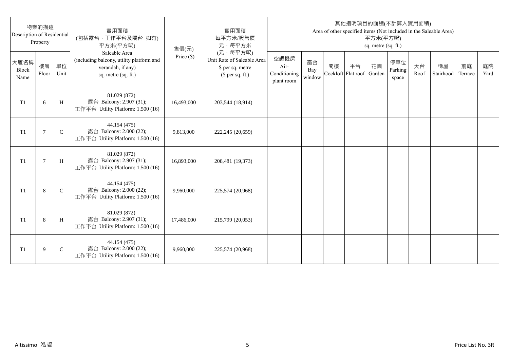| Description of Residential | 物業的描述<br>Property |              | 實用面積<br>(包括露台·工作平台及陽台 如有)<br>平方米(平方呎)                                                                 | 售價(元)      | 實用面積<br>每平方米/呎售價<br>元·每平方米                                                     |                                            |                     |    |                          | 平方米(平方呎)<br>sq. metre (sq. ft.) | 其他指明項目的面積(不計算入實用面積)     |            | Area of other specified items (Not included in the Saleable Area) |               |            |
|----------------------------|-------------------|--------------|-------------------------------------------------------------------------------------------------------|------------|--------------------------------------------------------------------------------|--------------------------------------------|---------------------|----|--------------------------|---------------------------------|-------------------------|------------|-------------------------------------------------------------------|---------------|------------|
| 大廈名稱<br>Block<br>Name      | 樓層<br>Floor       | 單位<br>Unit   | Saleable Area<br>(including balcony, utility platform and<br>verandah, if any)<br>sq. metre (sq. ft.) | Price (\$) | (元·每平方呎)<br>Unit Rate of Saleable Area<br>\$ per sq. metre<br>$$$ per sq. ft.) | 空調機房<br>Air-<br>Conditioning<br>plant room | 窗台<br>Bay<br>window | 閣樓 | 平台<br>Cockloft Flat roof | 花園<br>Garden                    | 停車位<br>Parking<br>space | 天台<br>Roof | 梯屋<br>Stairhood                                                   | 前庭<br>Terrace | 庭院<br>Yard |
| T1                         | 6                 | H            | 81.029 (872)<br>露台 Balcony: 2.907 (31);<br>工作平台 Utility Platform: 1.500 (16)                          | 16,493,000 | 203,544 (18,914)                                                               |                                            |                     |    |                          |                                 |                         |            |                                                                   |               |            |
| T <sub>1</sub>             | $\overline{7}$    | $\mathsf{C}$ | 44.154 (475)<br>露台 Balcony: 2.000 (22);<br>工作平台 Utility Platform: 1.500 (16)                          | 9,813,000  | 222,245 (20,659)                                                               |                                            |                     |    |                          |                                 |                         |            |                                                                   |               |            |
| T1                         | $7\phantom{.0}$   | H            | 81.029 (872)<br>露台 Balcony: 2.907 (31);<br>工作平台 Utility Platform: 1.500 (16)                          | 16,893,000 | 208,481 (19,373)                                                               |                                            |                     |    |                          |                                 |                         |            |                                                                   |               |            |
| T1                         | 8                 | $\mathbf C$  | 44.154 (475)<br>露台 Balcony: 2.000 (22);<br>工作平台 Utility Platform: 1.500 (16)                          | 9.960.000  | 225,574 (20,968)                                                               |                                            |                     |    |                          |                                 |                         |            |                                                                   |               |            |
| T <sub>1</sub>             | 8                 | H            | 81.029 (872)<br>露台 Balcony: 2.907 (31);<br>工作平台 Utility Platform: 1.500 (16)                          | 17,486,000 | 215,799 (20,053)                                                               |                                            |                     |    |                          |                                 |                         |            |                                                                   |               |            |
| T1                         | 9                 | $\mathsf{C}$ | 44.154 (475)<br>露台 Balcony: 2.000 (22);<br>工作平台 Utility Platform: 1.500 (16)                          | 9,960,000  | 225,574 (20,968)                                                               |                                            |                     |    |                          |                                 |                         |            |                                                                   |               |            |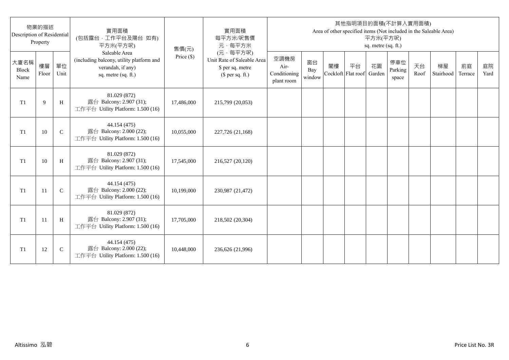| Description of Residential | 物業的描述<br>Property |              | 實用面積<br>(包括露台,工作平台及陽台 如有)<br>平方米(平方呎)                                                                 | 售價(元)      | 實用面積<br>每平方米/呎售價<br>元·每平方米                                                     |                                            |                     |                          |    | 平方米(平方呎)<br>sq. metre (sq. ft.) | 其他指明項目的面積(不計算入實用面積)     |            | Area of other specified items (Not included in the Saleable Area) |               |            |
|----------------------------|-------------------|--------------|-------------------------------------------------------------------------------------------------------|------------|--------------------------------------------------------------------------------|--------------------------------------------|---------------------|--------------------------|----|---------------------------------|-------------------------|------------|-------------------------------------------------------------------|---------------|------------|
| 大廈名稱<br>Block<br>Name      | 樓層<br>Floor       | 單位<br>Unit   | Saleable Area<br>(including balcony, utility platform and<br>verandah, if any)<br>sq. metre (sq. ft.) | Price (\$) | (元·每平方呎)<br>Unit Rate of Saleable Area<br>\$ per sq. metre<br>$$$ per sq. ft.) | 空調機房<br>Air-<br>Conditioning<br>plant room | 窗台<br>Bay<br>window | 閣樓<br>Cockloft Flat roof | 平台 | 花園<br>Garden                    | 停車位<br>Parking<br>space | 天台<br>Roof | 梯屋<br>Stairhood                                                   | 前庭<br>Terrace | 庭院<br>Yard |
| T <sub>1</sub>             | 9                 | H            | 81.029 (872)<br>露台 Balcony: 2.907 (31);<br>工作平台 Utility Platform: 1.500 (16)                          | 17,486,000 | 215,799 (20,053)                                                               |                                            |                     |                          |    |                                 |                         |            |                                                                   |               |            |
| T <sub>1</sub>             | 10                | $\mathsf{C}$ | 44.154 (475)<br>露台 Balcony: 2.000 (22);<br>工作平台 Utility Platform: 1.500 (16)                          | 10,055,000 | 227,726 (21,168)                                                               |                                            |                     |                          |    |                                 |                         |            |                                                                   |               |            |
| T1                         | 10                | H            | 81.029 (872)<br>露台 Balcony: 2.907 (31);<br>工作平台 Utility Platform: 1.500 (16)                          | 17,545,000 | 216,527 (20,120)                                                               |                                            |                     |                          |    |                                 |                         |            |                                                                   |               |            |
| T1                         | 11                | $\mathbf C$  | 44.154 (475)<br>露台 Balcony: 2.000 (22);<br>工作平台 Utility Platform: 1.500 (16)                          | 10,199,000 | 230,987 (21,472)                                                               |                                            |                     |                          |    |                                 |                         |            |                                                                   |               |            |
| T1                         | -11               | H            | 81.029 (872)<br>露台 Balcony: 2.907 (31);<br>工作平台 Utility Platform: 1.500 (16)                          | 17,705,000 | 218,502 (20,304)                                                               |                                            |                     |                          |    |                                 |                         |            |                                                                   |               |            |
| T <sub>1</sub>             | 12                | $\mathsf{C}$ | 44.154 (475)<br>露台 Balcony: 2.000 (22);<br>工作平台 Utility Platform: 1.500 (16)                          | 10,448,000 | 236,626 (21,996)                                                               |                                            |                     |                          |    |                                 |                         |            |                                                                   |               |            |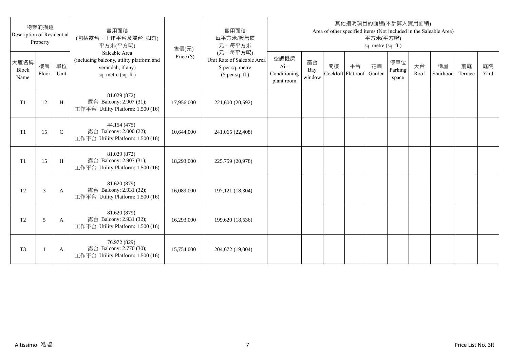| Description of Residential | 物業的描述<br>Property |              | 實用面積<br>(包括露台,工作平台及陽台 如有)<br>平方米(平方呎)                                                                 | 售價(元)      | 實用面積<br>每平方米/呎售價<br>元·每平方米                                                     |                                            |                     |    |                          | 平方米(平方呎)<br>sq. metre (sq. ft.) | 其他指明項目的面積(不計算入實用面積)     |            | Area of other specified items (Not included in the Saleable Area) |               |            |
|----------------------------|-------------------|--------------|-------------------------------------------------------------------------------------------------------|------------|--------------------------------------------------------------------------------|--------------------------------------------|---------------------|----|--------------------------|---------------------------------|-------------------------|------------|-------------------------------------------------------------------|---------------|------------|
| 大廈名稱<br>Block<br>Name      | 樓層<br>Floor       | 單位<br>Unit   | Saleable Area<br>(including balcony, utility platform and<br>verandah, if any)<br>sq. metre (sq. ft.) | Price (\$) | (元·每平方呎)<br>Unit Rate of Saleable Area<br>\$ per sq. metre<br>$$$ per sq. ft.) | 空調機房<br>Air-<br>Conditioning<br>plant room | 窗台<br>Bay<br>window | 閣樓 | 平台<br>Cockloft Flat roof | 花園<br>Garden                    | 停車位<br>Parking<br>space | 天台<br>Roof | 梯屋<br>Stairhood                                                   | 前庭<br>Terrace | 庭院<br>Yard |
| T1                         | 12                | H            | 81.029 (872)<br>露台 Balcony: 2.907 (31);<br>工作平台 Utility Platform: 1.500 (16)                          | 17,956,000 | 221,600 (20,592)                                                               |                                            |                     |    |                          |                                 |                         |            |                                                                   |               |            |
| T1                         | 15                | $\mathsf{C}$ | 44.154 (475)<br>露台 Balcony: 2.000 (22);<br>工作平台 Utility Platform: 1.500 (16)                          | 10,644,000 | 241,065 (22,408)                                                               |                                            |                     |    |                          |                                 |                         |            |                                                                   |               |            |
| T1                         | 15                | H            | 81.029 (872)<br>露台 Balcony: 2.907 (31);<br>工作平台 Utility Platform: 1.500 (16)                          | 18,293,000 | 225,759 (20,978)                                                               |                                            |                     |    |                          |                                 |                         |            |                                                                   |               |            |
| $\operatorname{T2}$        | 3                 | A            | 81.620 (879)<br>露台 Balcony: 2.931 (32);<br>工作平台 Utility Platform: 1.500 (16)                          | 16,089,000 | 197,121 (18,304)                                                               |                                            |                     |    |                          |                                 |                         |            |                                                                   |               |            |
| T <sub>2</sub>             | 5                 | A            | 81.620 (879)<br>露台 Balcony: 2.931 (32);<br>工作平台 Utility Platform: 1.500 (16)                          | 16,293,000 | 199,620 (18,536)                                                               |                                            |                     |    |                          |                                 |                         |            |                                                                   |               |            |
| T <sub>3</sub>             | -1                | A            | 76.972 (829)<br>露台 Balcony: 2.770 (30);<br>工作平台 Utility Platform: 1.500 (16)                          | 15,754,000 | 204,672 (19,004)                                                               |                                            |                     |    |                          |                                 |                         |            |                                                                   |               |            |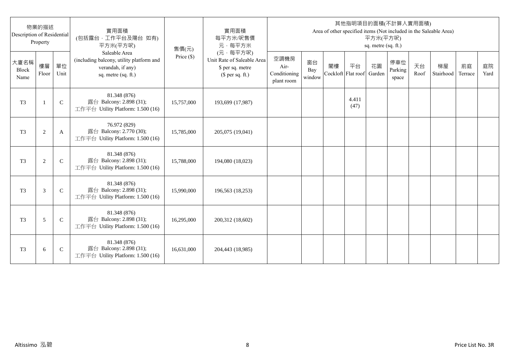| Description of Residential | 物業的描述<br>Property |               | 實用面積<br>(包括露台,工作平台及陽台 如有)<br>平方米(平方呎)                                                                 | 售價(元)      | 實用面積<br>每平方米/呎售價<br>元·每平方米                                                     |                                            |                     |                          |               | 平方米(平方呎)<br>sq. metre (sq. ft.) | 其他指明項目的面積(不計算入實用面積)     |            | Area of other specified items (Not included in the Saleable Area) |               |            |
|----------------------------|-------------------|---------------|-------------------------------------------------------------------------------------------------------|------------|--------------------------------------------------------------------------------|--------------------------------------------|---------------------|--------------------------|---------------|---------------------------------|-------------------------|------------|-------------------------------------------------------------------|---------------|------------|
| 大廈名稱<br>Block<br>Name      | 樓層<br>Floor       | 單位<br>Unit    | Saleable Area<br>(including balcony, utility platform and<br>verandah, if any)<br>sq. metre (sq. ft.) | Price (\$) | (元·每平方呎)<br>Unit Rate of Saleable Area<br>\$ per sq. metre<br>$$$ per sq. ft.) | 空調機房<br>Air-<br>Conditioning<br>plant room | 窗台<br>Bay<br>window | 閣樓<br>Cockloft Flat roof | 平台            | 花園<br>Garden                    | 停車位<br>Parking<br>space | 天台<br>Roof | 梯屋<br>Stairhood                                                   | 前庭<br>Terrace | 庭院<br>Yard |
| T <sub>3</sub>             | $\mathbf{1}$      | $\mathsf{C}$  | 81.348 (876)<br>露台 Balcony: 2.898 (31);<br>工作平台 Utility Platform: 1.500 (16)                          | 15,757,000 | 193,699 (17,987)                                                               |                                            |                     |                          | 4.411<br>(47) |                                 |                         |            |                                                                   |               |            |
| T <sub>3</sub>             | $\sqrt{2}$        | A             | 76.972 (829)<br>露台 Balcony: 2.770 (30);<br>工作平台 Utility Platform: 1.500 (16)                          | 15,785,000 | 205,075 (19,041)                                                               |                                            |                     |                          |               |                                 |                         |            |                                                                   |               |            |
| T <sub>3</sub>             | 2                 | $\mathcal{C}$ | 81.348 (876)<br>露台 Balcony: 2.898 (31);<br>工作平台 Utility Platform: 1.500 (16)                          | 15,788,000 | 194,080 (18,023)                                                               |                                            |                     |                          |               |                                 |                         |            |                                                                   |               |            |
| T <sub>3</sub>             | 3                 | $\mathcal{C}$ | 81.348 (876)<br>露台 Balcony: 2.898 (31);<br>工作平台 Utility Platform: 1.500 (16)                          | 15,990,000 | 196,563 (18,253)                                                               |                                            |                     |                          |               |                                 |                         |            |                                                                   |               |            |
| T <sub>3</sub>             | 5                 | $\mathsf{C}$  | 81.348 (876)<br>露台 Balcony: 2.898 (31);<br>工作平台 Utility Platform: 1.500 (16)                          | 16,295,000 | 200,312 (18,602)                                                               |                                            |                     |                          |               |                                 |                         |            |                                                                   |               |            |
| T <sub>3</sub>             | 6                 | $\mathsf{C}$  | 81.348 (876)<br>露台 Balcony: 2.898 (31);<br>工作平台 Utility Platform: 1.500 (16)                          | 16,631,000 | 204,443 (18,985)                                                               |                                            |                     |                          |               |                                 |                         |            |                                                                   |               |            |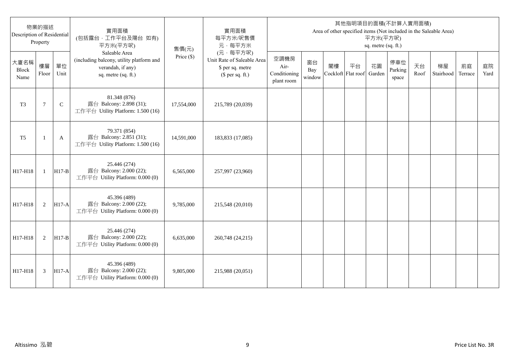| Description of Residential | 物業的描述<br>Property |              | 實用面積<br>(包括露台,工作平台及陽台 如有)<br>平方米(平方呎)                                                                 | 售價(元)      | 實用面積<br>每平方米/呎售價<br>元·每平方米                                                     |                                            |                     |                          |    | 平方米(平方呎)<br>sq. metre (sq. ft.) | 其他指明項目的面積(不計算入實用面積)     |            | Area of other specified items (Not included in the Saleable Area) |               |            |
|----------------------------|-------------------|--------------|-------------------------------------------------------------------------------------------------------|------------|--------------------------------------------------------------------------------|--------------------------------------------|---------------------|--------------------------|----|---------------------------------|-------------------------|------------|-------------------------------------------------------------------|---------------|------------|
| 大廈名稱<br>Block<br>Name      | 樓層<br>Floor       | 單位<br>Unit   | Saleable Area<br>(including balcony, utility platform and<br>verandah, if any)<br>sq. metre (sq. ft.) | Price (\$) | (元·每平方呎)<br>Unit Rate of Saleable Area<br>\$ per sq. metre<br>$$$ per sq. ft.) | 空調機房<br>Air-<br>Conditioning<br>plant room | 窗台<br>Bay<br>window | 閣樓<br>Cockloft Flat roof | 平台 | 花園<br>Garden                    | 停車位<br>Parking<br>space | 天台<br>Roof | 梯屋<br>Stairhood                                                   | 前庭<br>Terrace | 庭院<br>Yard |
| T <sub>3</sub>             | $\tau$            | $\mathsf{C}$ | 81.348 (876)<br>露台 Balcony: 2.898 (31);<br>工作平台 Utility Platform: 1.500 (16)                          | 17,554,000 | 215,789 (20,039)                                                               |                                            |                     |                          |    |                                 |                         |            |                                                                   |               |            |
| T <sub>5</sub>             |                   | A            | 79.371 (854)<br>露台 Balcony: 2.851 (31);<br>工作平台 Utility Platform: 1.500 (16)                          | 14,591,000 | 183,833 (17,085)                                                               |                                            |                     |                          |    |                                 |                         |            |                                                                   |               |            |
| H17-H18                    | $\mathbf{1}$      | $H17-B$      | 25.446 (274)<br>露台 Balcony: 2.000 (22);<br>工作平台 Utility Platform: 0.000 (0)                           | 6,565,000  | 257,997 (23,960)                                                               |                                            |                     |                          |    |                                 |                         |            |                                                                   |               |            |
| H17-H18                    | 2                 | $H17-A$      | 45.396 (489)<br>露台 Balcony: 2.000 (22);<br>工作平台 Utility Platform: 0.000 (0)                           | 9,785,000  | 215,548 (20,010)                                                               |                                            |                     |                          |    |                                 |                         |            |                                                                   |               |            |
| H17-H18                    | 2                 | $H17-B$      | 25.446 (274)<br>露台 Balcony: 2.000 (22);<br>工作平台 Utility Platform: 0.000 (0)                           | 6,635,000  | 260,748 (24,215)                                                               |                                            |                     |                          |    |                                 |                         |            |                                                                   |               |            |
| H17-H18                    | 3                 | <b>H17-A</b> | 45.396 (489)<br>露台 Balcony: 2.000 (22);<br>工作平台 Utility Platform: 0.000 (0)                           | 9,805,000  | 215,988 (20,051)                                                               |                                            |                     |                          |    |                                 |                         |            |                                                                   |               |            |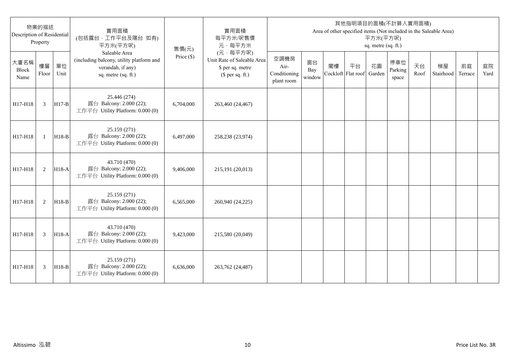| Description of Residential | 物業的描述<br>Property |            | 實用面積<br>(包括露台,工作平台及陽台 如有)<br>平方米(平方呎)                                                                 | 售價(元)        | 實用面積<br>每平方米/呎售價<br>元·每平方米                                                     |                                            |                     |                          |    | 平方米(平方呎)<br>sq. metre (sq. ft.) | 其他指明項目的面積(不計算入實用面積)     |            | Area of other specified items (Not included in the Saleable Area) |               |            |
|----------------------------|-------------------|------------|-------------------------------------------------------------------------------------------------------|--------------|--------------------------------------------------------------------------------|--------------------------------------------|---------------------|--------------------------|----|---------------------------------|-------------------------|------------|-------------------------------------------------------------------|---------------|------------|
| 大廈名稱<br>Block<br>Name      | 樓層<br>Floor       | 單位<br>Unit | Saleable Area<br>(including balcony, utility platform and<br>verandah, if any)<br>sq. metre (sq. ft.) | Price $(\$)$ | (元·每平方呎)<br>Unit Rate of Saleable Area<br>\$ per sq. metre<br>$$$ per sq. ft.) | 空調機房<br>Air-<br>Conditioning<br>plant room | 窗台<br>Bay<br>window | 閣樓<br>Cockloft Flat roof | 平台 | 花園<br>Garden                    | 停車位<br>Parking<br>space | 天台<br>Roof | 梯屋<br>Stairhood                                                   | 前庭<br>Terrace | 庭院<br>Yard |
| H17-H18                    | $\mathfrak{Z}$    | $H17-B$    | 25.446 (274)<br>露台 Balcony: 2.000 (22);<br>工作平台 Utility Platform: 0.000 (0)                           | 6,704,000    | 263,460 (24,467)                                                               |                                            |                     |                          |    |                                 |                         |            |                                                                   |               |            |
| H17-H18                    | $\mathbf{1}$      | $H18-B$    | 25.159 (271)<br>露台 Balcony: 2.000 (22);<br>工作平台 Utility Platform: 0.000 (0)                           | 6,497,000    | 258,238 (23,974)                                                               |                                            |                     |                          |    |                                 |                         |            |                                                                   |               |            |
| H17-H18                    | 2                 | H18-A      | 43.710 (470)<br>露台 Balcony: 2.000 (22);<br>工作平台 Utility Platform: 0.000 (0)                           | 9.406.000    | 215,191 (20,013)                                                               |                                            |                     |                          |    |                                 |                         |            |                                                                   |               |            |
| H17-H18                    | 2                 | $H18-B$    | 25.159 (271)<br>露台 Balcony: 2.000 (22);<br>工作平台 Utility Platform: 0.000 (0)                           | 6,565,000    | 260,940 (24,225)                                                               |                                            |                     |                          |    |                                 |                         |            |                                                                   |               |            |
| H17-H18                    | 3                 | $H18-A$    | 43.710 (470)<br>露台 Balcony: 2.000 (22);<br>工作平台 Utility Platform: 0.000 (0)                           | 9,423,000    | 215,580 (20,049)                                                               |                                            |                     |                          |    |                                 |                         |            |                                                                   |               |            |
| H17-H18                    | 3                 | $H18-B$    | 25.159 (271)<br>露台 Balcony: 2.000 (22);<br>工作平台 Utility Platform: 0.000 (0)                           | 6,636,000    | 263,762 (24,487)                                                               |                                            |                     |                          |    |                                 |                         |            |                                                                   |               |            |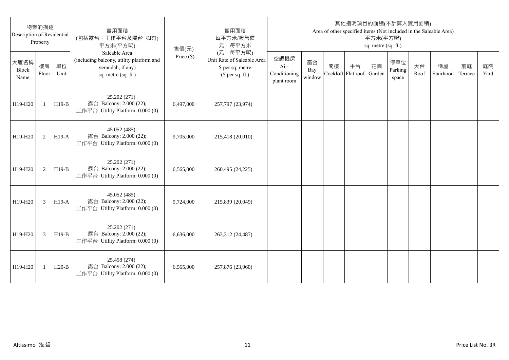| 物業的描述<br>Description of Residential<br>Property |              |            | 實用面積<br>(包括露台,工作平台及陽台 如有)<br>平方米(平方呎)<br>售價(元)                                                        |              | 實用面積<br>每平方米/呎售價<br>元·每平方米                                                     | 其他指明項目的面積(不計算入實用面積)<br>Area of other specified items (Not included in the Saleable Area)<br>平方米(平方呎)<br>sq. metre (sq. ft.) |                     |    |                          |              |                         |            |                 |               |            |
|-------------------------------------------------|--------------|------------|-------------------------------------------------------------------------------------------------------|--------------|--------------------------------------------------------------------------------|-----------------------------------------------------------------------------------------------------------------------------|---------------------|----|--------------------------|--------------|-------------------------|------------|-----------------|---------------|------------|
| 大廈名稱<br><b>Block</b><br>Name                    | 樓層<br>Floor  | 單位<br>Unit | Saleable Area<br>(including balcony, utility platform and<br>verandah, if any)<br>sq. metre (sq. ft.) | Price $(\$)$ | (元·每平方呎)<br>Unit Rate of Saleable Area<br>\$ per sq. metre<br>$$$ per sq. ft.) | 空調機房<br>Air-<br>Conditioning<br>plant room                                                                                  | 窗台<br>Bay<br>window | 閣樓 | 平台<br>Cockloft Flat roof | 花園<br>Garden | 停車位<br>Parking<br>space | 天台<br>Roof | 梯屋<br>Stairhood | 前庭<br>Terrace | 庭院<br>Yard |
| H19-H20                                         | $\mathbf{1}$ | $H19-B$    | 25.202 (271)<br>露台 Balcony: 2.000 (22);<br>工作平台 Utility Platform: 0.000 (0)                           | 6,497,000    | 257,797 (23,974)                                                               |                                                                                                                             |                     |    |                          |              |                         |            |                 |               |            |
| H19-H20                                         | 2            | $H19-A$    | 45.052 (485)<br>露台 Balcony: 2.000 (22);<br>工作平台 Utility Platform: 0.000 (0)                           | 9,705,000    | 215,418 (20,010)                                                               |                                                                                                                             |                     |    |                          |              |                         |            |                 |               |            |
| H19-H20                                         | 2            | $H19-B$    | 25.202 (271)<br>露台 Balcony: 2.000 (22);<br>工作平台 Utility Platform: 0.000 (0)                           | 6.565.000    | 260,495 (24,225)                                                               |                                                                                                                             |                     |    |                          |              |                         |            |                 |               |            |
| H19-H20                                         | 3            | $H19-A$    | 45.052 (485)<br>露台 Balcony: 2.000 (22);<br>工作平台 Utility Platform: 0.000 (0)                           | 9,724,000    | 215,839 (20,049)                                                               |                                                                                                                             |                     |    |                          |              |                         |            |                 |               |            |
| H19-H20                                         | 3            | $H19-B$    | 25.202 (271)<br>露台 Balcony: 2.000 (22);<br>工作平台 Utility Platform: 0.000 (0)                           | 6,636,000    | 263,312 (24,487)                                                               |                                                                                                                             |                     |    |                          |              |                         |            |                 |               |            |
| H19-H20                                         | 1            | $H20-B$    | 25.458 (274)<br>露台 Balcony: 2.000 (22);<br>工作平台 Utility Platform: 0.000 (0)                           | 6,565,000    | 257,876 (23,960)                                                               |                                                                                                                             |                     |    |                          |              |                         |            |                 |               |            |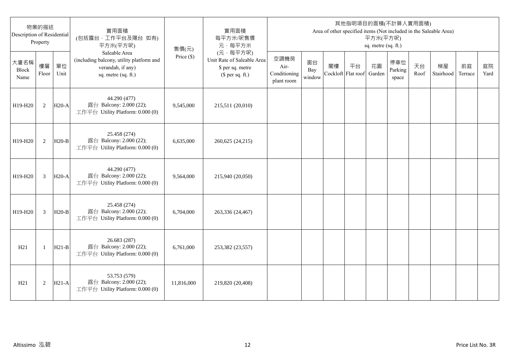| 物業的描述<br>Description of Residential<br>Property |                |            | 實用面積<br>(包括露台,工作平台及陽台 如有)<br>平方米(平方呎)                                                                 | 售價(元)        | 實用面積<br>每平方米/呎售價<br>元·每平方米                                                     | 其他指明項目的面積(不計算入實用面積)<br>Area of other specified items (Not included in the Saleable Area)<br>平方米(平方呎)<br>sq. metre (sq. ft.) |                     |                          |    |              |                         |            |                 |               |            |
|-------------------------------------------------|----------------|------------|-------------------------------------------------------------------------------------------------------|--------------|--------------------------------------------------------------------------------|-----------------------------------------------------------------------------------------------------------------------------|---------------------|--------------------------|----|--------------|-------------------------|------------|-----------------|---------------|------------|
| 大廈名稱<br>Block<br>Name                           | 樓層<br>Floor    | 單位<br>Unit | Saleable Area<br>(including balcony, utility platform and<br>verandah, if any)<br>sq. metre (sq. ft.) | Price $(\$)$ | (元·每平方呎)<br>Unit Rate of Saleable Area<br>\$ per sq. metre<br>$$$ per sq. ft.) | 空調機房<br>Air-<br>Conditioning<br>plant room                                                                                  | 窗台<br>Bay<br>window | 閣樓<br>Cockloft Flat roof | 平台 | 花園<br>Garden | 停車位<br>Parking<br>space | 天台<br>Roof | 梯屋<br>Stairhood | 前庭<br>Terrace | 庭院<br>Yard |
| H19-H20                                         | 2              | $H20-A$    | 44.290 (477)<br>露台 Balcony: 2.000 (22);<br>工作平台 Utility Platform: 0.000 (0)                           | 9,545,000    | 215,511 (20,010)                                                               |                                                                                                                             |                     |                          |    |              |                         |            |                 |               |            |
| H19-H20                                         | 2              | $H20-B$    | 25.458 (274)<br>露台 Balcony: 2.000 (22);<br>工作平台 Utility Platform: 0.000 (0)                           | 6,635,000    | 260,625 (24,215)                                                               |                                                                                                                             |                     |                          |    |              |                         |            |                 |               |            |
| H19-H20                                         | 3              | $H20-A$    | 44.290 (477)<br>露台 Balcony: 2.000 (22);<br>工作平台 Utility Platform: 0.000 (0)                           | 9,564,000    | 215,940 (20,050)                                                               |                                                                                                                             |                     |                          |    |              |                         |            |                 |               |            |
| H19-H20                                         | $\overline{3}$ | $H20-B$    | 25.458 (274)<br>露台 Balcony: 2.000 (22);<br>工作平台 Utility Platform: 0.000 (0)                           | 6,704,000    | 263,336 (24,467)                                                               |                                                                                                                             |                     |                          |    |              |                         |            |                 |               |            |
| H21                                             | -1             | $H21-B$    | 26.683 (287)<br>露台 Balcony: 2.000 (22);<br>工作平台 Utility Platform: 0.000 (0)                           | 6,761,000    | 253,382 (23,557)                                                               |                                                                                                                             |                     |                          |    |              |                         |            |                 |               |            |
| H21                                             | $\overline{2}$ | $H21-A$    | 53.753 (579)<br>露台 Balcony: 2.000 (22);<br>工作平台 Utility Platform: 0.000 (0)                           | 11,816,000   | 219,820 (20,408)                                                               |                                                                                                                             |                     |                          |    |              |                         |            |                 |               |            |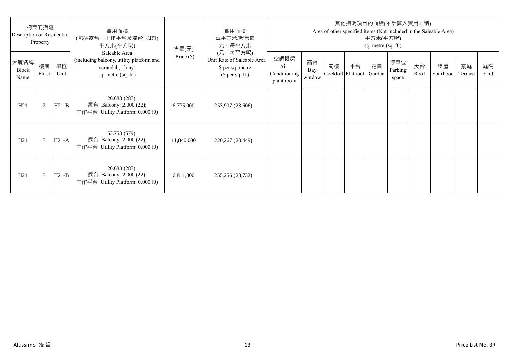| 物業的描述<br>Description of Residential<br>Property |             |            | 實用面積<br>(包括露台·工作平台及陽台 如有)<br>平方米(平方呎)                                                                 | 售價(元)        | 實用面積<br>每平方米/呎售價<br>元·每平方米                                                     | 其他指明項目的面積(不計算入實用面積)<br>Area of other specified items (Not included in the Saleable Area)<br>平方米(平方呎)<br>sq. metre (sq. ft.) |                     |    |                                 |    |                         |            |                 |               |            |
|-------------------------------------------------|-------------|------------|-------------------------------------------------------------------------------------------------------|--------------|--------------------------------------------------------------------------------|-----------------------------------------------------------------------------------------------------------------------------|---------------------|----|---------------------------------|----|-------------------------|------------|-----------------|---------------|------------|
| 大廈名稱<br>Block<br>Name                           | 樓層<br>Floor | 單位<br>Unit | Saleable Area<br>(including balcony, utility platform and<br>verandah, if any)<br>sq. metre (sq. ft.) | Price $(\$)$ | (元·每平方呎)<br>Unit Rate of Saleable Area<br>\$ per sq. metre<br>$$$ per sq. ft.) | 空調機房<br>Air-<br>Conditioning<br>plant room                                                                                  | 窗台<br>Bay<br>window | 閣樓 | 平台<br>Cockloft Flat roof Garden | 花園 | 停車位<br>Parking<br>space | 天台<br>Roof | 梯屋<br>Stairhood | 前庭<br>Terrace | 庭院<br>Yard |
| H21                                             | 2           | $H21-B$    | 26.683 (287)<br>露台 Balcony: 2.000 (22);<br>工作平台 Utility Platform: $0.000(0)$                          | 6,775,000    | 253,907 (23,606)                                                               |                                                                                                                             |                     |    |                                 |    |                         |            |                 |               |            |
| H21                                             | 3           | $H21-A$    | 53.753 (579)<br>露台 Balcony: 2.000 (22);<br>工作平台 Utility Platform: 0.000 (0)                           | 11,840,000   | 220,267 (20,449)                                                               |                                                                                                                             |                     |    |                                 |    |                         |            |                 |               |            |
| H21                                             | 3           | $H21-B$    | 26.683 (287)<br>露台 Balcony: 2.000 (22);<br>工作平台 Utility Platform: $0.000(0)$                          | 6,811,000    | 255,256 (23,732)                                                               |                                                                                                                             |                     |    |                                 |    |                         |            |                 |               |            |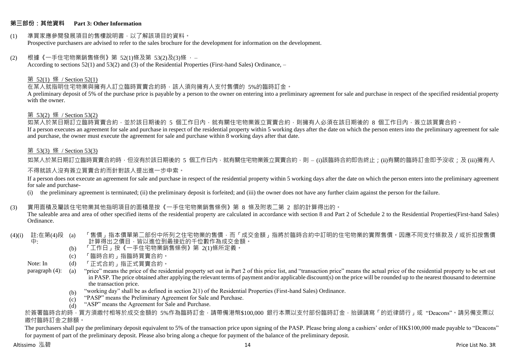#### **第三部份:其他資料 Part 3: Other Information**

#### (1) 準買家應參閱發展項目的售樓說明書,以了解該項目的資料。 Prospective purchasers are advised to refer to the sales brochure for the development for information on the development.

#### $(2)$  根據《一手住宅物業銷售條例》第 52(1)條及第 53(2)及(3)條,

According to sections 52(1) and 53(2) and (3) of the Residential Properties (First-hand Sales) Ordinance, –

#### 第 52(1) 條 / Section 52(1)

在某人就指明住宅物業與擁有人訂立臨時買賣合約時,該人須向擁有人支付售價的 5%的臨時訂金。

A preliminary deposit of 5% of the purchase price is payable by a person to the owner on entering into a preliminary agreement for sale and purchase in respect of the specified residential property with the owner.

#### 第 53(2) 條 / Section 53(2)

—————————————<br>如某人於某日期訂立臨時買賣合約,並於該日期後的 5 個工作日內,就有關住宅物業簽立買賣合約,則擁有人必須在該日期後的 8 個工作日內,簽立該買賣合約。 If a person executes an agreement for sale and purchase in respect of the residential property within 5 working days after the date on which the person enters into the preliminary agreement for sale and purchase, the owner must execute the agreement for sale and purchase within 8 working days after that date.

# 第 53(3) 條 / Section 53(3)

如某人於某日期訂立臨時買賣合約時,但沒有於該日期後的 5 個工作日內,就有關住宅物業簽立買賣合約,則 – (i)該臨時合約即告終止;(ji)有關的臨時訂金即予沒收;及 (iii)擁有人

#### 不得就該人沒有簽立買賣合約而針對該人提出進一步申索。

If a person does not execute an agreement for sale and purchase in respect of the residential property within 5 working days after the date on which the person enters into the preliminary agreement for sale and purchase-

(i) the preliminary agreement is terminated; (ii) the preliminary deposit is forfeited; and (iii) the owner does not have any further claim against the person for the failure.

#### (3) 實用面積及屬該住宅物業其他指明項目的面積是按《一手住宅物業銷售條例》第 8 條及附表二第 2 部的計算得出的。

The saleable area and area of other specified items of the residential property are calculated in accordance with section 8 and Part 2 of Schedule 2 to the Residential Properties(First-hand Sales) Ordinance.

#### (4)(i) 註:在第(4)段 中: 「售價」指本價單第二部份中所列之住宅物業的售價,而「成交金額」指將於臨時合約中訂明的住宅物業的實際售價。因應不同支付條款及/或折扣按售價 計算得出之價目,皆以進位到最接近的千位數作為成交金額。

- (b) 「工作日」按《一手住宅物業銷售條例》第 2(1)條所定義。
- (c) 「臨時合約」指臨時買賣合約。
- Note: In (d) 「正式合約」指正式買賣合約。

paragraph (4): (a) "price" means the price of the residential property set out in Part 2 of this price list, and "transaction price" means the actual price of the residential property to be set out in PASP. The price obtained after applying the relevant terms of payment and/or applicable discount(s) on the price will be rounded up to the nearest thousand to determine the transaction price.

- (b) "working day" shall be as defined in section 2(1) of the Residential Properties (First-hand Sales) Ordinance.
- $(c)$ "PASP" means the Preliminary Agreement for Sale and Purchase.
- $(d)$ "ASP" means the Agreement for Sale and Purchase.

於簽署臨時合約時,買方須繳付相等於成交金額的 5%作為臨時訂金,請帶備港幣\$100,000 銀行本票以支付部份臨時訂金,抬頭請寫「的近律師行」或"Deacons"。請另備支票以 繳付臨時訂金之餘額。

The purchasers shall pay the preliminary deposit equivalent to 5% of the transaction price upon signing of the PASP. Please bring along a cashiers' order of HK\$100,000 made payable to "Deacons" for payment of part of the preliminary deposit. Please also bring along a cheque for payment of the balance of the preliminary deposit.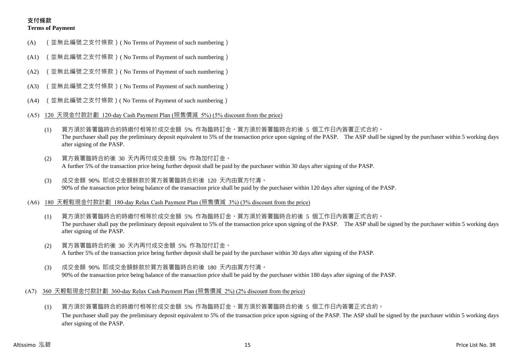# **支付條款 Terms of Payment**

- (A) (並無此編號之支付條款)( No Terms of Payment of such numbering)
- (A1) (並無此編號之支付條款)( No Terms of Payment of such numbering)
- (A2) (並無此編號之支付條款)( No Terms of Payment of such numbering)
- (A3) (並無此編號之支付條款)( No Terms of Payment of such numbering)
- (A4) (並無此編號之支付條款)( No Terms of Payment of such numbering)
- (A5) 120 天現金付款計劃 120-day Cash Payment Plan (照售價減 5%) (5% discount from the price)
	- (1) 買方須於簽署臨時合約時繳付相等於成交金額 5% 作為臨時訂金。買方須於簽署臨時合約後 5 個工作日內簽署正式合約。 The purchaser shall pay the preliminary deposit equivalent to 5% of the transaction price upon signing of the PASP. The ASP shall be signed by the purchaser within 5 working days after signing of the PASP.
	- (2) 買方簽署臨時合約後 30 天內再付成交金額 5% 作為加付訂金。 A further 5% of the transaction price being further deposit shall be paid by the purchaser within 30 days after signing of the PASP.
	- (3) 成交金額 90% 即成交金額餘款於買方簽署臨時合約後 120 天內由買方付清。 90% of the transaction price being balance of the transaction price shall be paid by the purchaser within 120 days after signing of the PASP.
- (A6) 180 天輕鬆現金付款計劃 180-day Relax Cash Payment Plan (照售價減 3%) (3% discount from the price)
	- (1) 買方須於簽署臨時合約時繳付相等於成交金額 5% 作為臨時訂金。買方須於簽署臨時合約後 5 個工作日內簽署正式合約。 The purchaser shall pay the preliminary deposit equivalent to 5% of the transaction price upon signing of the PASP. The ASP shall be signed by the purchaser within 5 working days after signing of the PASP.
	- (2) 買方簽署臨時合約後 30 天內再付成交金額 5% 作為加付訂金。 A further 5% of the transaction price being further deposit shall be paid by the purchaser within 30 days after signing of the PASP.
	- (3) 成交金額 90% 即成交金額餘款於買方簽署臨時合約後 180 天內由買方付清。 90% of the transaction price being balance of the transaction price shall be paid by the purchaser within 180 days after signing of the PASP.
- (A7) 360 天輕鬆現金付款計劃 360-day Relax Cash Payment Plan (照售價減 2%) (2% discount from the price)
	- (1) 買方須於簽署臨時合約時繳付相等於成交金額 5% 作為臨時訂金。買方須於簽署臨時合約後 5 個工作日內簽署正式合約。 The purchaser shall pay the preliminary deposit equivalent to 5% of the transaction price upon signing of the PASP. The ASP shall be signed by the purchaser within 5 working days after signing of the PASP.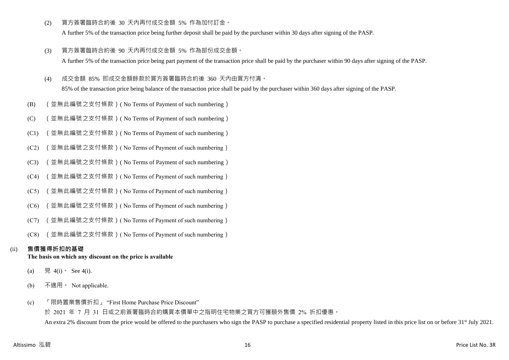(2) 買方簽署臨時合約後 30 天內再付成交金額 5% 作為加付訂金。

A further 5% of the transaction price being further deposit shall be paid by the purchaser within 30 days after signing of the PASP.

- (3) 買方簽署臨時合約後 90 天內再付成交金額 5% 作為部份成交金額。 A further 5% of the transaction price being part payment of the transaction price shall be paid by the purchaser within 90 days after signing of the PASP.
- (4) 成交金額 85% 即成交金額餘款於買方簽署臨時合約後 360 天內由買方付清。

85% of the transaction price being balance of the transaction price shall be paid by the purchaser within 360 days after signing of the PASP.

- (B) (並無此編號之支付條款)( No Terms of Payment of such numbering)
- (C) (並無此編號之支付條款)( No Terms of Payment of such numbering)
- (C1) (並無此編號之支付條款)( No Terms of Payment of such numbering)
- (C2) (並無此編號之支付條款)( No Terms of Payment of such numbering)
- (C3) (並無此編號之支付條款)( No Terms of Payment of such numbering)
- (C4) (並無此編號之支付條款)( No Terms of Payment of such numbering)
- (C5) (並無此編號之支付條款)( No Terms of Payment of such numbering)
- (C6) (並無此編號之支付條款)( No Terms of Payment of such numbering)
- (C7) (並無此編號之支付條款)( No Terms of Payment of such numbering)
- (C8) (並無此編號之支付條款)( No Terms of Payment of such numbering)

# (ii) **售價獲得折扣的基礎**

# **The basis on which any discount on the price is available**

- (a) 見 4(i) See 4(i).
- (b) 不適用。 Not applicable.
- (c) 「限時置業售價折扣」 "First Home Purchase Price Discount"

於 2021 年 7 月 31 日或之前簽署臨時合約購買本價單中之指明住宅物業之買方可獲額外售價 2% 折扣優惠。 An extra 2% discount from the price would be offered to the purchasers who sign the PASP to purchase a specified residential property listed in this price list on or before 31<sup>st</sup> July 2021.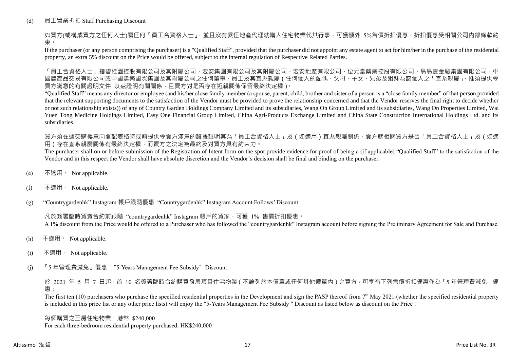# (d) 員工置業折扣 Staff Purchasing Discount

如買方(或構成買方之任何人士)屬任何「員工合資格人士」,並且沒有委任地產代理就購入住宅物業代其行事,可獲額外 5%售價折扣優惠,折扣優惠受相關公司內部條款約 束。

If the purchaser (or any person comprising the purchaser) is a "Qualified Staff", provided that the purchaser did not appoint any estate agent to act for him/her in the purchase of the residential property, an extra 5% discount on the Price would be offered, subject to the internal regulation of Respective Related Parties.

「員工合資格人士」指碧桂園控股有限公司及其附屬公司、宏安集團有限公司及其附屬公司、宏安地產有限公司、位元堂藥業控股有限公司、易易壹金融集團有限公司、中 國農產品交易有限公司或中國建築國際集團及其附屬公司之任何董事、員工及其直系親屬(任何個人的配偶、父母、子女、兄弟及姐妹為該個人之「直系親屬」,惟須提供令 賣方滿意的有關證明文件 以茲證明有關關係,且賣方對是否存在近親關係保留最終決定權)。

"Qualified Staff" means any director or employee (and his/her close family member (a spouse, parent, child, brother and sister of a person is a "close family member" of that person provided that the relevant supporting documents to the satisfaction of the Vendor must be provided to prove the relationship concerned and that the Vendor reserves the final right to decide whether or not such relationship exists)) of any of Country Garden Holdings Company Limited and its subsidiaries, Wang On Group Limited and its subsidiaries, Wang On Properties Limited, Wai Yuen Tong Medicine Holdings Limited, Easy One Financial Group Limited, China Agri-Products Exchange Limited and China State Construction International Holdings Ltd. and its subsidiaries.

買方須在遞交購樓意向登記表格時或前提供令賣方滿意的證據証明其為「員工合資格人士」及(如適用)直系親屬關係,賣方就相關買方是否「員工合資格人士」及(如適 用)存在直系親屬關係有最終決定權,而賣方之決定為最終及對買方具有約束力。

The purchaser shall on or before submission of the Registration of Intent form on the spot provide evidence for proof of being a (if applicable) "Qualified Staff" to the satisfaction of the Vendor and in this respect the Vendor shall have absolute discretion and the Vendor's decision shall be final and binding on the purchaser.

- (e) 不適用。 Not applicable.
- (f) 不適用。 Not applicable.

(g) "Countrygardenhk" Instagram 帳戶跟隨優惠 "Countrygardenhk" Instagram Account Follows' Discount

凡於簽署臨時買賣合約前跟隨 "countrygardenhk" Instagram 帳戶的買家,可獲 1% 售價折扣優惠。 A 1% discount from the Price would be offered to a Purchaser who has followed the "countrygardenhk" Instagram account before signing the Preliminary Agreement for Sale and Purchase.

- (h) 不適用。 Not applicable.
- (i) 不適用。 Not applicable.
- (j) 「5 年管理費減免」優惠 "5-Years Management Fee Subsidy"Discount

於 2021 年 5 月 7 日起,首 10 名簽署臨時合約購買發展項目住宅物業 ( 不論列於本價單或任何其他價單內 ) 之買方, 可享有下列售價折扣優惠作為 「5 年管理費減免」優 惠:

The first ten  $(10)$  purchasers who purchase the specified residential properties in the Development and sign the PASP thereof from  $7<sup>th</sup>$  May 2021 (whether the specified residential property is included in this price list or any other price lists) will enjoy the "5-Years Management Fee Subsidy " Discount as listed below as discount on the Price:

每個購買之三房住宅物業:港幣 \$240,000 For each three-bedroom residential property purchased: HK\$240,000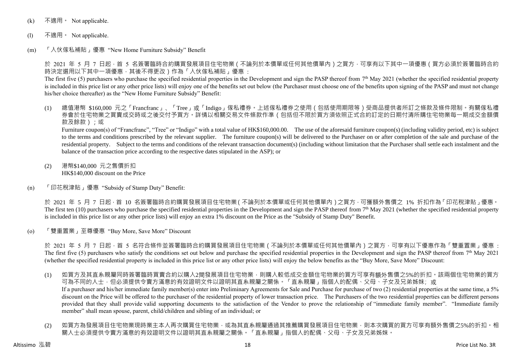- (k) 不適用 · Not applicable.
- (l) 不適用。 Not applicable.
- (m) 「入伙傢私補貼」優惠 "New Home Furniture Subsidy" Benefit

於 2021 年 5 月 7 日起 · 首 5 名簽署臨時合約購買發展項目住宅物業 ( 不論列於本價單或任何其他價單內 ) 之買方 · 可享有以下其中一項優惠 ( 買方必須於簽署臨時合約 時決定選用以下其中一項優惠,其後不得更改)作為「入伙傢私補貼」優惠:

The first five (5) purchasers who purchase the specified residential properties in the Development and sign the PASP thereof from  $7<sup>th</sup>$  May 2021 (whether the specified residential property is included in this price list or any other price lists) will enjoy one of the benefits set out below (the Purchaser must choose one of the benefits upon signing of the PASP and must not change his/her choice thereafter) as the "New Home Furniture Subsidy" Benefit:

(1) 總值港幣 \$160,000 元之「Francfranc」、「Tree」或「Indigo」傢私禮券。上述傢私禮券之使用(包括使用期限等)受商品提供者所訂之條款及條件限制。有關傢私禮 券會於住宅物業之買賣成交時或之後交付予買方。詳情以相關交易文件條款作準(包括但不限於買方須依照正式合約訂定的日期付清所購住宅物業每一期成交金額價 款及餘款);或

Furniture coupon(s) of "Francfranc", "Tree" or "Indigo" with a total value of HK\$160,000.00. The use of the aforesaid furniture coupon(s) (including validity period, etc) is subject to the terms and conditions prescribed by the relevant supplier. The furniture coupon(s) will be delivered to the Purchaser on or after completion of the sale and purchase of the residential property. Subject to the terms and conditions of the relevant transaction document(s) (including without limitation that the Purchaser shall settle each instalment and the balance of the transaction price according to the respective dates stipulated in the ASP); or

- (2) 港幣\$140,000 元之售價折扣 HK\$140,000 discount on the Price
- (n) 「印花稅津貼」優惠 "Subsidy of Stamp Duty" Benefit:

於 2021 年 5 月 7 日起,首 10 名簽署臨時合約購買發展項目住宅物業(不論列於本價單或任何其他價單內)之買方,可獲額外售價之 1% 折扣作為「印花稅津貼」優惠。 The first ten (10) purchasers who purchase the specified residential properties in the Development and sign the PASP thereof from  $7<sup>th</sup>$  May 2021 (whether the specified residential property is included in this price list or any other price lists) will enjoy an extra 1% discount on the Price as the "Subsidy of Stamp Duty" Benefit.

(o) 「雙重置業」至尊優惠 "Buy More, Save More" Discount

於 2021 年 5 月 7 日起,首 5 名符合條件並簽署臨時合約購買發展項目住宅物業 ( 不論列於本價單或任何其他價單內 ) 之買方,可享有以下優惠作為「雙重置業」優惠 : The first five (5) purchasers who satisfy the conditions set out below and purchase the specified residential properties in the Development and sign the PASP thereof from  $7<sup>th</sup>$  May 2021 (whether the specified residential property is included in this price list or any other price lists) will enjoy the below benefits as the "Buy More, Save More" Discount:

- (1) 如買方及其直系親屬同時簽署臨時買賣合約以購入2間發展項目住宅物業,則購入較低成交金額住宅物業的買方可享有額外售價之5%的折扣。該兩個住宅物業的買方 可為不同的人士,但必須提供令賣方滿意的有效證明文件以證明其直系親屬之關係。「直系親屬」指個人的配偶、父母、子女及兄弟姊妹;或 If a purchaser and his/her immediate family member(s) enter into Preliminary Agreements for Sale and Purchase for purchase of two (2) residential properties at the same time, a 5% discount on the Price will be offered to the purchaser of the residential property of lower transaction price. The Purchasers of the two residential properties can be different persons provided that they shall provide valid supporting documents to the satisfaction of the Vendor to prove the relationship of "immediate family member". "Immediate family member" shall mean spouse, parent, child/children and sibling of an individual; or
- (2) 如買方為發展項目住宅物業現時業主本人再次購買住宅物業,或為其直系親屬通過其推薦購買發展項目住宅物業,則本次購買的買方可享有額外售價之5%的折扣。相 關人士必須提供令賣方滿意的有效證明文件以證明其直系親屬之關係。「直系親屬」指個人的配偶、父母、子女及兄弟姊妹。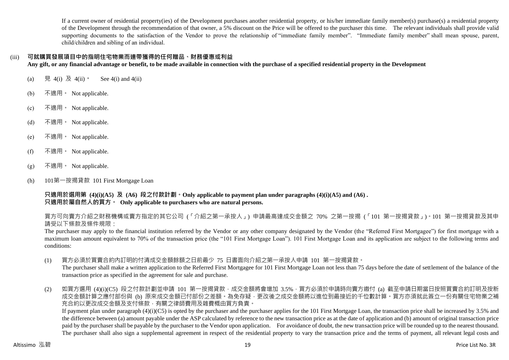If a current owner of residential property(ies) of the Development purchases another residential property, or his/her immediate family member(s) purchase(s) a residential property of the Development through the recommendation of that owner, a 5% discount on the Price will be offered to the purchaser this time. The relevant individuals shall provide valid supporting documents to the satisfaction of the Vendor to prove the relationship of "immediate family member". "Immediate family member" shall mean spouse, parent, child/children and sibling of an individual.

# (iii) **可就購買發展項目中的指明住宅物業而連帶獲得的任何贈品、財務優惠或利益**

**Any gift, or any financial advantage or benefit, to be made available in connection with the purchase of a specified residential property in the Development**

- (a) 見 4(i) 及 4(ii)。 See 4(i) and 4(ii)
- (b) 不適用。 Not applicable.
- (c) 不適用。 Not applicable.
- (d) 不適用。 Not applicable.
- (e)  $\bar{A}$ 適用 · Not applicable.
- (f) 不適用。 Not applicable.
- $(g)$  不適用 Not applicable.
- (h) 101第一按揭貸款 101 First Mortgage Loan

**只適用於選用第 (4)(i)(A5) 及 (A6) 段之付款計劃。Only applicable to payment plan under paragraphs (4)(i)(A5) and (A6) . 只適用於屬自然人的買方。 Only applicable to purchasers who are natural persons.**

買方可向賣方介紹之財務機構或賣方指定的其它公司 (「介紹之第一承按人」) 申請最高達成交金額之 70% 之第一按揭 (「101 第一按揭貸款」)。101 第一按揭貸款及其申 請受以下條款及條件規限:

The purchaser may apply to the financial institution referred by the Vendor or any other company designated by the Vendor (the "Referred First Mortgagee") for first mortgage with a maximum loan amount equivalent to 70% of the transaction price (the "101 First Mortgage Loan"). 101 First Mortgage Loan and its application are subject to the following terms and conditions:

(1) 買方必須於買賣合約內訂明的付清成交金額餘額之日前最少 75 日書面向介紹之第一承按人申請 101 第一按揭貸款。

The purchaser shall make a written application to the Referred First Mortgage for 101 First Mortgage Loan not less than 75 days before the date of settlement of the balance of the transaction price as specified in the agreement for sale and purchase.

(2) 如買方選用 (4)(i)(C5) 段之付款計劃並申請 101 第一按揭貸款,成交金額將會增加 3.5%,買方必須於申請時向賣方繳付 (a) 截至申請日期當日按照買賣合約訂明及按新 成交金額計算之應付部份與 (b) 原來成交金額已付部份之差額。為免存疑,更改後之成交金額將以進位到最接近的千位數計算。買方亦須就此簽立一份有關住宅物業之補 充合約以更改成交金額及支付條款,有關之律師費用及雜費概由買方負責。

If payment plan under paragraph  $(4)(i)(C5)$  is opted by the purchaser and the purchaser applies for the 101 First Mortgage Loan, the transaction price shall be increased by 3.5% and the difference between (a) amount payable under the ASP calculated by reference to the new transaction price as at the date of application and (b) amount of original transaction price paid by the purchaser shall be payable by the purchaser to the Vendor upon application. For avoidance of doubt, the new transaction price will be rounded up to the nearest thousand. The purchaser shall also sign a supplemental agreement in respect of the residential property to vary the transaction price and the terms of payment, all relevant legal costs and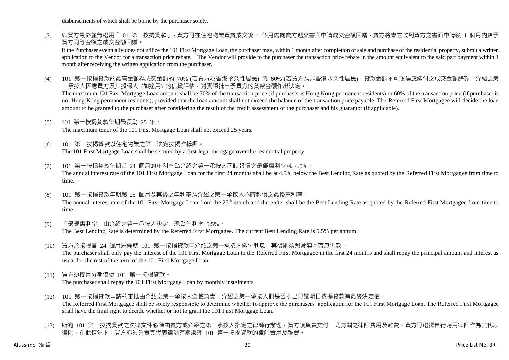disbursements of which shall be borne by the purchaser solely.

(3) 如買方最終並無選用「101 第一按揭貸款」,買方可在住宅物業買賣成交後 1 個月内向賣方遞交書面申請成交金額回贈,賣方將會在收到買方之書面申請後 1 個月内給予 買方同等金額之成交金額回贈。

If the Purchaser eventually does not utilize the 101 First Mortgage Loan, the purchaser may, within 1 month after completion of sale and purchase of the residential property, submit a written application to the Vendor for a transaction price rebate. The Vendor will provide to the purchaser the transaction price rebate in the amount equivalent to the said part payment within 1 month after receiving the written application from the purchaser..

(4) 101 第一按揭貸款的最高金額為成交金額的 70% (若買方為香港永久性居民) 或 60% (若買方為非香港永久性居民),貸款金額不可超過應繳付之成交金額餘額。介紹之第 一承按人因應買方及其擔保人 (如適用) 的信貸評估,對實際批出予買方的貸款金額作出決定。

The maximum 101 First Mortgage Loan amount shall be 70% of the transaction price (if purchaser is Hong Kong permanent residents) or 60% of the transaction price (if purchaser is not Hong Kong permanent residents), provided that the loan amount shall not exceed the balance of the transaction price payable. The Referred First Mortgagee will decide the loan amount to be granted to the purchaser after considering the result of the credit assessment of the purchaser and his guarantor (if applicable).

(5) 101 第一按揭貸款年期最長為 25 年。

The maximum tenor of the 101 First Mortgage Loan shall not exceed 25 years.

- (6) 101 第一按揭貸款以住宅物業之第一法定按揭作抵押。 The 101 First Mortgage Loan shall be secured by a first legal mortgage over the residential property.
- (7) 101 第一按揭貸款年期首 24 個月的年利率為介紹之第一承按人不時報價之最優惠利率減 4.5%。 The annual interest rate of the 101 First Mortgage Loan for the first 24 months shall be at 4.5% below the Best Lending Rate as quoted by the Referred First Mortgagee from time to time.
- (8) 101 第一按揭貸款年期第 25 個月及其後之年利率為介紹之第一承按人不時報價之最優惠利率。 The annual interest rate of the 101 First Mortgage Loan from the 25<sup>th</sup> month and thereafter shall be the Best Lending Rate as quoted by the Referred First Mortgagee from time to time.
- (9) 「最優惠利率」由介紹之第一承按人決定,現為年利率 5.5%。 The Best Lending Rate is determined by the Referred First Mortgagee. The current Best Lending Rate is 5.5% per annum.
- (10) 買方於按揭首 24 個月只需就 101 第一按揭貸款向介紹之第一承按人繳付利息,其後則須照常連本帶息供款。 The purchaser shall only pay the interest of the 101 First Mortgage Loan to the Referred First Mortgagee in the first 24 months and shall repay the principal amount and interest as usual for the rest of the term of the 101 First Mortgage Loan.
- (11) 買方須按月分期償還 101 第一按揭貸款。 The purchaser shall repay the 101 First Mortgage Loan by monthly instalments.
- (12) 101 第一按揭貸款申請的審批由介紹之第一承按人全權負責。介紹之第一承按人對是否批出見證明日按揭貸款有最終決定權。 The Referred First Mortgagee shall be solely responsible to determine whether to approve the purchasers' application for the 101 First Mortgage Loan. The Referred First Mortgagee shall have the final right to decide whether or not to grant the 101 First Mortgage Loan.
- (13) 所有 101 第一按揭貸款之法律文件必須由賣方或介紹之第一承按人指定之律師行辦理,買方須負責支付一切有關之律師費用及雜費。買方可選擇自行聘用律師作為其代表 律師,在此情況下,買方亦須負責其代表律師有關處理 101 第一按揭貸款的律師費用及雜費。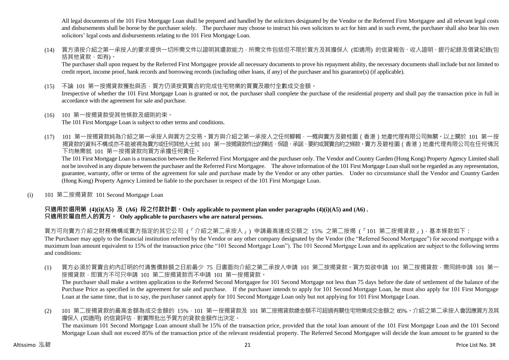All legal documents of the 101 First Mortgage Loan shall be prepared and handled by the solicitors designated by the Vendor or the Referred First Mortgagee and all relevant legal costs and disbursements shall be borne by the purchaser solely. The purchaser may choose to instruct his own solicitors to act for him and in such event, the purchaser shall also bear his own solicitors' legal costs and disbursements relating to the 101 First Mortgage Loan.

(14) 買方須按介紹之第一承按人的要求提供一切所需文件以證明其還款能力,所需文件包括但不限於買方及其擔保人 (如適用) 的信貸報告、收入證明、銀行紀錄及借貸紀錄(包 括其他貸款,如有)。

The purchaser shall upon request by the Referred First Mortgagee provide all necessary documents to prove his repayment ability, the necessary documents shall include but not limited to credit report, income proof, bank records and borrowing records (including other loans, if any) of the purchaser and his guarantor(s) (if applicable).

(15) 不論 101 第一按揭貸款獲批與否,買方仍須按買賣合約完成住宅物業的買賣及繳付全數成交金額。

Irrespective of whether the 101 First Mortgage Loan is granted or not, the purchaser shall complete the purchase of the residential property and shall pay the transaction price in full in accordance with the agreement for sale and purchase.

(16) 101 第一按揭貸款受其他條款及細則約束。

The 101 First Mortgage Loan is subject to other terms and conditions.

(17) 101 第一按揭貸款純為介紹之第一承按人與買方之交易。買方與介紹之第一承按人之任何轇輵,一概與賣方及碧桂園(香港)地產代理有限公司無關。以上關於 101 第一按 揭貸款的資料不構成亦不能被視為賣方或任何其他人士就 101 第一按揭貸款作出的陳述、保證、承諾、要約或買賣合約之條款。賣方及碧桂園(香港)地產代理有限公司在任何情況 下均無需就 101 第一按揭貸款向買方承擔任何責任。

The 101 First Mortgage Loan is a transaction between the Referred First Mortgagee and the purchaser only. The Vendor and Country Garden (Hong Kong) Property Agency Limited shall not be involved in any dispute between the purchaser and the Referred First Mortgagee. The above information of the 101 First Mortgage Loan shall not be regarded as any representation, guarantee, warranty, offer or terms of the agreement for sale and purchase made by the Vendor or any other parties. Under no circumstance shall the Vendor and Country Garden (Hong Kong) Property Agency Limited be liable to the purchaser in respect of the 101 First Mortgage Loan.

(i) 101 第二按揭貸款 101 Second Mortgage Loan

# **只適用於選用第 (4)(i)(A5) 及 (A6) 段之付款計劃。Only applicable to payment plan under paragraphs (4)(i)(A5) and (A6) . 只適用於屬自然人的買方。 Only applicable to purchasers who are natural persons.**

買方可向賣方介紹之財務機構或賣方指定的其它公司 (「介紹之第二承按人」) 申請最高達成交額之 15% 之第二按揭 (「101 第二按揭貸款」),基本條款如下: The Purchaser may apply to the financial institution referred by the Vendor or any other company designated by the Vendor (the "Referred Second Mortgagee") for second mortgage with a

maximum loan amount equivalent to 15% of the transaction price (the "101 Second Mortgage Loan"). The 101 Second Mortgage Loan and its application are subject to the following terms and conditions:

- (1) 買方必須於買賣合約內訂明的付清售價餘額之日前最少 75 日書面向介紹之第二承按人申請 101 第二按揭貸款。買方如欲申請 101 第二按揭貸款,需同時申請 101 第一 按揭貸款,即買方不可只申請 101 第二按揭貸款而不申請 101 第一按揭貸款。 The purchaser shall make a written application to the Referred Second Mortgagee for 101 Second Mortgage not less than 75 days before the date of settlement of the balance of the Purchase Price as specified in the agreement for sale and purchase. If the purchaser intends to apply for 101 Second Mortgage Loan, he must also apply for 101 First Mortgage Loan at the same time, that is to say, the purchaser cannot apply for 101 Second Mortgage Loan only but not applying for 101 First Mortgage Loan.
- (2) 101 第二按揭貸款的最高金額為成交金額的 15%,101 第一按揭貸款及 101 第二按揭貸款總金額不可超過有關住宅物業成交金額之 85%。介紹之第二承按人會因應買方及其 擔保人 (如適用) 的信貸評估, 對實際批出予買方的貸款金額作出決定。 The maximum 101 Second Mortgage Loan amount shall be 15% of the transaction price, provided that the total loan amount of the 101 First Mortgage Loan and the 101 Second Mortgage Loan shall not exceed 85% of the transaction price of the relevant residential property. The Referred Second Mortgagee will decide the loan amount to be granted to the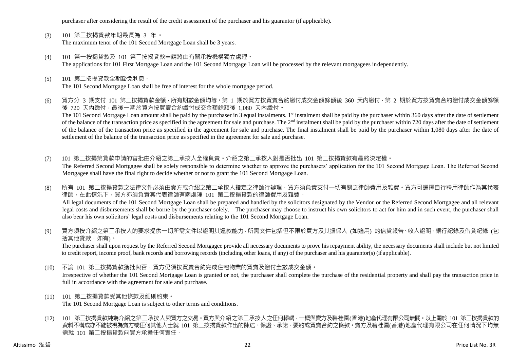purchaser after considering the result of the credit assessment of the purchaser and his guarantor (if applicable).

- (3) 101 第二按揭貸款年期最長為 3 年。 The maximum tenor of the 101 Second Mortgage Loan shall be 3 years.
- (4) 101 第一按揭貸款及 101 第二按揭貸款申請將由有關承按機構獨立處理。 The applications for 101 First Mortgage Loan and the 101 Second Mortgage Loan will be processed by the relevant mortgagees independently.
- (5) 101 第二按揭貸款全期豁免利息。 The 101 Second Mortgage Loan shall be free of interest for the whole mortgage period.
- (6) 買方分 3 期支付 101 第二按揭貸款金額,所有期數金額均等。第 1 期於買方按買賣合約繳付成交金額餘額後 360 天內繳付,第 2 期於買方按買賣合約繳付成交金額餘額 後 720 天內繳付,最後一期於買方按買賣合約繳付成交金額餘額後 1,080 天內繳付。 The 101 Second Mortgage Loan amount shall be paid by the purchaser in 3 equal instalments. 1<sup>st</sup> instalment shall be paid by the purchaser within 360 days after the date of settlement of the balance of the transaction price as specified in the agreement for sale and purchase. The  $2<sup>nd</sup>$  instalment shall be paid by the purchaser within 720 days after the date of settlement of the balance of the transaction price as specified in the agreement for sale and purchase. The final instalment shall be paid by the purchaser within 1,080 days after the date of settlement of the balance of the transaction price as specified in the agreement for sale and purchase.
- (7) 101 第二按揭第貸款申請的審批由介紹之第二承按人全權負責。介紹之第二承按人對是否批出 101 第二按揭貸款有最終決定權。 The Referred Second Mortgagee shall be solely responsible to determine whether to approve the purchasers' application for the 101 Second Mortgage Loan. The Referred Second Mortgagee shall have the final right to decide whether or not to grant the 101 Second Mortgage Loan.
- (8) 所有 101 第二按揭貸款之法律文件必須由賣方或介紹之第二承按人指定之律師行辦理,買方須負責支付一切有關之律師費用及雜費。買方可選擇自行聘用律師作為其代表 律師,在此情況下,買方亦須負責其代表律師有關處理 101 第二按揭貸款的律師費用及雜費。 All legal documents of the 101 Second Mortgage Loan shall be prepared and handled by the solicitors designated by the Vendor or the Referred Second Mortgagee and all relevant legal costs and disbursements shall be borne by the purchaser solely. The purchaser may choose to instruct his own solicitors to act for him and in such event, the purchaser shall also bear his own solicitors' legal costs and disbursements relating to the 101 Second Mortgage Loan.
- (9) 買方須按介紹之第二承按人的要求提供一切所需文件以證明其還款能力,所需文件包括但不限於買方及其擔保人 (如適用) 的信貸報告、收入證明、銀行紀錄及借貸紀錄 (包 括其他貸款,如有)。

The purchaser shall upon request by the Referred Second Mortgagee provide all necessary documents to prove his repayment ability, the necessary documents shall include but not limited to credit report, income proof, bank records and borrowing records (including other loans, if any) of the purchaser and his guarantor(s) (if applicable).

- (10) 不論 101 第二按揭貸款獲批與否,買方仍須按買賣合約完成住宅物業的買賣及繳付全數成交金額。 Irrespective of whether the 101 Second Mortgage Loan is granted or not, the purchaser shall complete the purchase of the residential property and shall pay the transaction price in full in accordance with the agreement for sale and purchase.
- (11) 101 第二按揭貸款受其他條款及細則約束。

The 101 Second Mortgage Loan is subject to other terms and conditions.

(12) 101 第二按揭貸款純為介紹之第二承按人與買方之交易。買方與介紹之第二承按人之任何轇輵,一概與賣方及碧桂園(香港)地產代理有限公司無關。以上關於 101 第二按揭貸款的 資料不構成亦不能被視為賣方或任何其他人士就 101 第二按揭貸款作出的陳述、保證、承諾、要約或買賣合約之條款。賣方及碧桂園(香港)地產代理有限公司在任何情況下均無 需就 101 第二按揭貸款向買方承擔任何責任。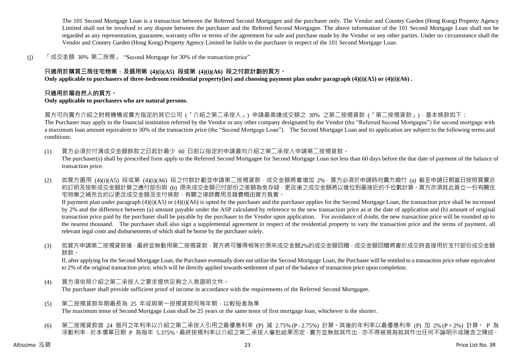The 101 Second Mortgage Loan is a transaction between the Referred Second Mortgagee and the purchaser only. The Vendor and Country Garden (Hong Kong) Property Agency Limited shall not be involved in any dispute between the purchaser and the Referred Second Mortgagee. The above information of the 101 Second Mortgage Loan shall not be regarded as any representation, guarantee, warranty offer or terms of the agreement for sale and purchase made by the Vendor or any other parties. Under no circumstance shall the Vendor and Country Garden (Hong Kong) Property Agency Limited be liable to the purchaser in respect of the 101 Second Mortgage Loan.

(j) 「成交金額 30% 第二按揭」 "Second Mortgage for 30% of the transaction price"

# **只適用於購買三房住宅物業,及選用第 (4)(i)(A5) 段或第 (4)(i)(A6) 段之付款計劃的買方。**

**Only applicable to purchasers of three-bedroom residential property(ies) and choosing payment plan under paragraph (4)(i)(A5) or (4)(i)(A6) .**

# **只適用於屬自然人的買方。**

#### **Only applicable to purchasers who are natural persons.**

買方可向賣方介紹之財務機構或賣方指定的其它公司 (「介紹之第二承按人」) 申請最高達成交額之 30% 之第二按揭貸款 (「第二按揭貸款」),基本條款如下:

The Purchaser may apply to the financial institution referred by the Vendor or any other company designated by the Vendor (the "Referred Second Mortgagee") for second mortgage with a maximum loan amount equivalent to 30% of the transaction price (the "Second Mortgage Loan"). The Second Mortgage Loan and its application are subject to the following terms and conditions:

- (1) 買方必須於付清成交金額餘款之日起計最少 60 日前以指定的申請書向介紹之第二承按人申請第二按揭貸款。 The purchaser(s) shall by prescribed form apply to the Referred Second Mortgagee for Second Mortgage Loan not less than 60 days before the due date of payment of the balance of transaction price.
- (2) 如買方選用 (4)(i)(A5) 段或第 (4)(i)(A6) 段之付款計劃並申請第二按揭貸款,成交金額將會增加 2%,買方必須於申請時向賣方繳付 (a) 截至申請日期當日按照買賣合 約訂明及按新成交金額計算之應付部份與 (b) 原來成交金額已付部份之差額為免存疑,更改後之成交金額將以進位到最接近的千位數計算。買方亦須就此簽立一份有關住 宅物業之補充合約以更改成交金額及支付條款,有關之律師費用及雜費概由買方負責。 If payment plan under paragraph (4)(i)(A5) or (4)(i)(A6) is opted by the purchaser and the purchaser applies for the Second Mortgage Loan, the transaction price shall be increased by 2% and the difference between (a) amount payable under the ASP calculated by reference to the new transaction price as at the date of application and (b) amount of original transaction price paid by the purchaser shall be payable by the purchaser to the Vendor upon application. For avoidance of doubt, the new transaction price will be rounded up to the nearest thousand. The purchaser shall also sign a supplemental agreement in respect of the residential property to vary the transaction price and the terms of payment, all relevant legal costs and disbursements of which shall be borne by the purchaser solely.
- (3) 如買方申請第二按揭貸款後 · 最終並無動用第二按揭貸款 · 買方將可獲得相等於原來成交金額2%的成交金額回贈 · 成交金額回贈將會於成交時直接用於支付部份成交金額 餘款。

If, after applying for the Second Mortgage Loan, the Purchaser eventually does not utilize the Second Mortgage Loan, the Purchaser will be entitled to a transaction price rebate equivalent to 2% of the original transaction price, which will be directly applied towards settlement of part of the balance of transaction price upon completion.

- (4) 買方須依照介紹之第二承按人之要求提供足夠之入息證明文件。 The purchaser shall provide sufficient proof of income in accordance with the requirements of the Referred Second Mortgagee.
- (5) 第二按揭貸款年期最長為 25 年或與第一按揭貸款同等年期,以較短者為準 The maximum tenor of Second Mortgage Loan shall be 25 years or the same tenor of first mortgage loan, whichever is the shorter.
- (6) 第二按揭貸款首 24 個月之年利率以介紹之第二承按人引用之最優惠利率 (P) 減 2.75% (P 2.75%) 計算。其後的年利率以最優惠利率 (P) 加 2% (P + 2%) 計算。 P 為 浮動利率,於本價單日期 P 為每年 5.375%。最終按揭利率以介紹之第二承按人審批結果而定,賣方並無就其作出,亦不得被視為就其作出任何不論明示或隱含之陳述、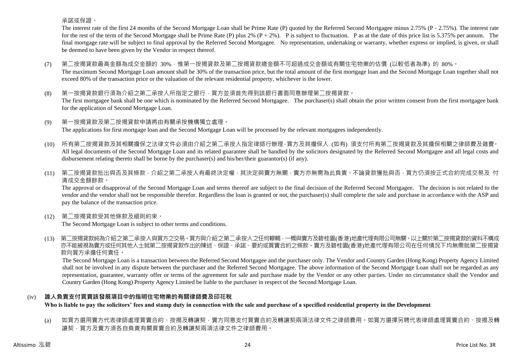承諾或保證。

The interest rate of the first 24 months of the Second Mortgage Loan shall be Prime Rate (P) quoted by the Referred Second Mortgagee minus 2.75% (P - 2.75%). The interest rate for the rest of the term of the Second Mortgage shall be Prime Rate (P) plus 2%  $(P + 2\%)$ . P is subject to fluctuation. P as at the date of this price list is 5.375% per annum. The final mortgage rate will be subject to final approval by the Referred Second Mortgagee. No representation, undertaking or warranty, whether express or implied, is given, or shall be deemed to have been given by the Vendor in respect thereof.

- (7) 第二按揭貸款最高金額為成交金額的 30%,惟第一按揭貸款及第二按揭貸款總金額不可超過成交金額或有關住宅物業的估價 (以較低者為準) 的 80%。 The maximum Second Mortgage Loan amount shall be 30% of the transaction price, but the total amount of the first mortgage loan and the Second Mortgage Loan together shall not exceed 80% of the transaction price or the valuation of the relevant residential property, whichever is the lower.
- (8) 第一按揭貸款銀行須為介紹之第二承按人所指定之銀行,買方並須首先得到該銀行書面同意辦理第二按揭貸款。 The first mortgagee bank shall be one which is nominated by the Referred Second Mortgagee. The purchaser(s) shall obtain the prior written consent from the first mortgagee bank for the application of Second Mortgage Loan.
- (9) 第一按揭貸款及第二按揭貸款申請將由有關承按機構獨立處理。 The applications for first mortgage loan and the Second Mortgage Loan will be processed by the relevant mortgagees independently.
- (10) 所有第二按揭貸款及其相關擔保之法律文件必須由介紹之第二承按人指定律師行辦理,買方及其擔保人 (如有) 須支付所有第二按揭貸款及其擔保相關之律師費及雜費。 All legal documents of the Second Mortgage Loan and its related guarantee shall be handled by the solicitors designated by the Referred Second Mortgagee and all legal costs and disbursement relating thereto shall be borne by the purchaser(s) and his/her/their guarantor(s) (if any).
- (11) 第二按揭貸款批出與否及其條款,介紹之第二承按人有最終決定權,其決定與賣方無關,賣方亦無需為此負責。不論貸款獲批與否,買方仍須按正式合約完成交易及 付 清成交金額餘款。

The approval or disapproval of the Second Mortgage Loan and terms thereof are subject to the final decision of the Referred Second Mortgagee. The decision is not related to the vendor and the vendor shall not be responsible therefor. Regardless the loan is granted or not, the purchaser(s) shall complete the sale and purchase in accordance with the ASP and pay the balance of the transaction price.

(12) 第二按揭貸款受其他條款及細則約束。

The Second Mortgage Loan is subject to other terms and conditions.

(13) 第二按揭貸款純為介紹之第二承按人與買方之交易。買方與介紹之第二承按人之任何轇輵,一概與賣方及碧桂園(香港)地產代理有限公司無關。以上關於第二按揭貸款的資料不構成 亦不能被視為賣方或任何其他人士就第二按揭貸款作出的陳述、保證、承諾、要約或買賣合約之條款。賣方及碧桂園(香港)地產代理有限公司在任何情況下均無需就第二按揭貸 款向買方承擔任何責任。

The Second Mortgage Loan is a transaction between the Referred Second Mortgagee and the purchaser only. The Vendor and Country Garden (Hong Kong) Property Agency Limited shall not be involved in any dispute between the purchaser and the Referred Second Mortgagee. The above information of the Second Mortgage Loan shall not be regarded as any representation, guarantee, warranty offer or terms of the agreement for sale and purchase made by the Vendor or any other parties. Under no circumstance shall the Vendor and Country Garden (Hong Kong) Property Agency Limited be liable to the purchaser in respect of the Second Mortgage Loan.

# (iv) **誰人負責支付買賣該發展項目中的指明住宅物業的有關律師費及印花稅**

**Who is liable to pay the solicitors' fees and stamp duty in connection with the sale and purchase of a specified residential property in the Development**

(a) 如買方選用賣方代表律師處理買賣合約、按揭及轉讓契,賣方同意支付買賣合約及轉讓契兩項法律文件之律師費用。如買方選擇另聘代表律師處理買賣合約、按揭及轉 讓契,買方及賣方須各自負責有關買賣合約及轉讓契兩項法律文件之律師費用。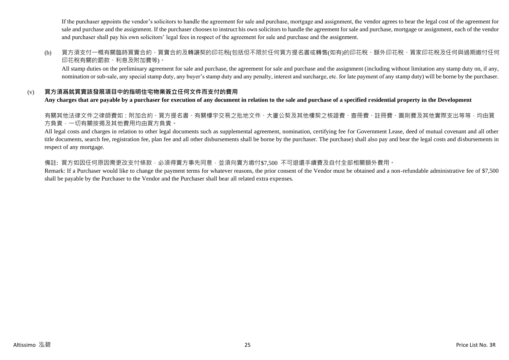If the purchaser appoints the vendor's solicitors to handle the agreement for sale and purchase, mortgage and assignment, the vendor agrees to bear the legal cost of the agreement for sale and purchase and the assignment. If the purchaser chooses to instruct his own solicitors to handle the agreement for sale and purchase, mortgage or assignment, each of the vendor and purchaser shall pay his own solicitors' legal fees in respect of the agreement for sale and purchase and the assignment.

(b) 買方須支付一概有關臨時買賣合約、買賣合約及轉讓契的印花稅(包括但不限於任何買方提名書或轉售(如有)的印花稅、額外印花稅、買家印花稅及任何與過期繳付任何 印花稅有關的罰款、利息及附加費等)。

All stamp duties on the preliminary agreement for sale and purchase, the agreement for sale and purchase and the assignment (including without limitation any stamp duty on, if any, nomination or sub-sale, any special stamp duty, any buyer's stamp duty and any penalty, interest and surcharge, etc. for late payment of any stamp duty) will be borne by the purchaser.

# (v) **買方須爲就買賣該發展項目中的指明住宅物業簽立任何文件而支付的費用**

**Any charges that are payable by a purchaser for execution of any document in relation to the sale and purchase of a specified residential property in the Development**

有關其他法律文件之律師費如:附加合約、買方提名書、有關樓宇交易之批地文件、大廈公契及其他樓契之核證費、查冊費、註冊費、圖則費及其他實際支出等等,均由買 方負責,一切有關按揭及其他費用均由買方負責。

All legal costs and charges in relation to other legal documents such as supplemental agreement, nomination, certifying fee for Government Lease, deed of mutual covenant and all other title documents, search fee, registration fee, plan fee and all other disbursements shall be borne by the purchaser. The purchase) shall also pay and bear the legal costs and disbursements in respect of any mortgage.

# 備註: 買方如因任何原因需更改支付條款,必須得賣方事先同意,並須向賣方繳付\$7,500 不可退還手續費及自付全部相關額外費用。

Remark: If a Purchaser would like to change the payment terms for whatever reasons, the prior consent of the Vendor must be obtained and a non-refundable administrative fee of \$7,500 shall be payable by the Purchaser to the Vendor and the Purchaser shall bear all related extra expenses.